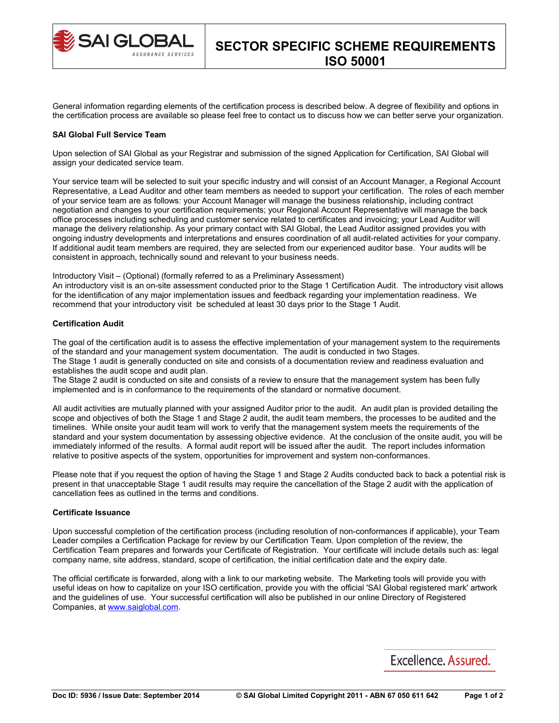

General information regarding elements of the certification process is described below. A degree of flexibility and options in the certification process are available so please feel free to contact us to discuss how we can better serve your organization.

#### **SAI Global Full Service Team**

Upon selection of SAI Global as your Registrar and submission of the signed Application for Certification, SAI Global will assign your dedicated service team.

Your service team will be selected to suit your specific industry and will consist of an Account Manager, a Regional Account Representative, a Lead Auditor and other team members as needed to support your certification. The roles of each member of your service team are as follows: your Account Manager will manage the business relationship, including contract negotiation and changes to your certification requirements; your Regional Account Representative will manage the back office processes including scheduling and customer service related to certificates and invoicing; your Lead Auditor will manage the delivery relationship. As your primary contact with SAI Global, the Lead Auditor assigned provides you with ongoing industry developments and interpretations and ensures coordination of all audit-related activities for your company. If additional audit team members are required, they are selected from our experienced auditor base. Your audits will be consistent in approach, technically sound and relevant to your business needs.

Introductory Visit – (Optional) (formally referred to as a Preliminary Assessment)

An introductory visit is an on-site assessment conducted prior to the Stage 1 Certification Audit. The introductory visit allows for the identification of any major implementation issues and feedback regarding your implementation readiness. We recommend that your introductory visit be scheduled at least 30 days prior to the Stage 1 Audit.

### **Certification Audit**

The goal of the certification audit is to assess the effective implementation of your management system to the requirements of the standard and your management system documentation. The audit is conducted in two Stages. The Stage 1 audit is generally conducted on site and consists of a documentation review and readiness evaluation and establishes the audit scope and audit plan.

The Stage 2 audit is conducted on site and consists of a review to ensure that the management system has been fully implemented and is in conformance to the requirements of the standard or normative document.

All audit activities are mutually planned with your assigned Auditor prior to the audit. An audit plan is provided detailing the scope and objectives of both the Stage 1 and Stage 2 audit, the audit team members, the processes to be audited and the timelines. While onsite your audit team will work to verify that the management system meets the requirements of the standard and your system documentation by assessing objective evidence. At the conclusion of the onsite audit, you will be immediately informed of the results. A formal audit report will be issued after the audit. The report includes information relative to positive aspects of the system, opportunities for improvement and system non-conformances.

Please note that if you request the option of having the Stage 1 and Stage 2 Audits conducted back to back a potential risk is present in that unacceptable Stage 1 audit results may require the cancellation of the Stage 2 audit with the application of cancellation fees as outlined in the terms and conditions.

### **Certificate Issuance**

Upon successful completion of the certification process (including resolution of non-conformances if applicable), your Team Leader compiles a Certification Package for review by our Certification Team. Upon completion of the review, the Certification Team prepares and forwards your Certificate of Registration. Your certificate will include details such as: legal company name, site address, standard, scope of certification, the initial certification date and the expiry date.

The official certificate is forwarded, along with a link to our marketing website. The Marketing tools will provide you with useful ideas on how to capitalize on your ISO certification, provide you with the official 'SAI Global registered mark' artwork and the guidelines of use. Your successful certification will also be published in our online Directory of Registered Companies, at [www.saiglobal.com.](http://www.saiglobal.com/)

# Excellence, Assured.